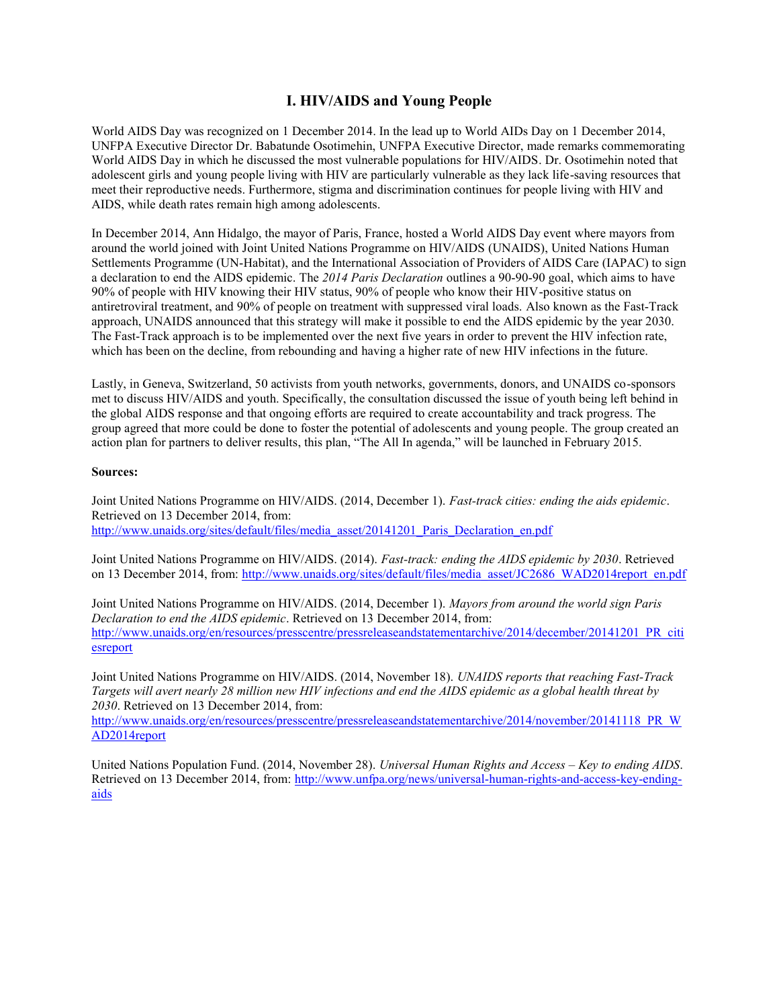## **I. HIV/AIDS and Young People**

World AIDS Day was recognized on 1 December 2014. In the lead up to World AIDs Day on 1 December 2014, UNFPA Executive Director Dr. Babatunde Osotimehin, UNFPA Executive Director, made remarks commemorating World AIDS Day in which he discussed the most vulnerable populations for HIV/AIDS. Dr. Osotimehin noted that adolescent girls and young people living with HIV are particularly vulnerable as they lack life-saving resources that meet their reproductive needs. Furthermore, stigma and discrimination continues for people living with HIV and AIDS, while death rates remain high among adolescents.

In December 2014, Ann Hidalgo, the mayor of Paris, France, hosted a World AIDS Day event where mayors from around the world joined with Joint United Nations Programme on HIV/AIDS (UNAIDS), United Nations Human Settlements Programme (UN-Habitat), and the International Association of Providers of AIDS Care (IAPAC) to sign a declaration to end the AIDS epidemic. The *2014 Paris Declaration* outlines a 90-90-90 goal, which aims to have 90% of people with HIV knowing their HIV status, 90% of people who know their HIV-positive status on antiretroviral treatment, and 90% of people on treatment with suppressed viral loads. Also known as the Fast-Track approach, UNAIDS announced that this strategy will make it possible to end the AIDS epidemic by the year 2030. The Fast-Track approach is to be implemented over the next five years in order to prevent the HIV infection rate, which has been on the decline, from rebounding and having a higher rate of new HIV infections in the future.

Lastly, in Geneva, Switzerland, 50 activists from youth networks, governments, donors, and UNAIDS co-sponsors met to discuss HIV/AIDS and youth. Specifically, the consultation discussed the issue of youth being left behind in the global AIDS response and that ongoing efforts are required to create accountability and track progress. The group agreed that more could be done to foster the potential of adolescents and young people. The group created an action plan for partners to deliver results, this plan, "The All In agenda," will be launched in February 2015.

## **Sources:**

Joint United Nations Programme on HIV/AIDS. (2014, December 1). *Fast-track cities: ending the aids epidemic*. Retrieved on 13 December 2014, from: [http://www.unaids.org/sites/default/files/media\\_asset/20141201\\_Paris\\_Declaration\\_en.pdf](http://www.unaids.org/sites/default/files/media_asset/20141201_Paris_Declaration_en.pdf)

Joint United Nations Programme on HIV/AIDS. (2014). *Fast-track: ending the AIDS epidemic by 2030*. Retrieved on 13 December 2014, from: [http://www.unaids.org/sites/default/files/media\\_asset/JC2686\\_WAD2014report\\_en.pdf](http://www.unaids.org/sites/default/files/media_asset/JC2686_WAD2014report_en.pdf)

Joint United Nations Programme on HIV/AIDS. (2014, December 1). *Mayors from around the world sign Paris Declaration to end the AIDS epidemic*. Retrieved on 13 December 2014, from: [http://www.unaids.org/en/resources/presscentre/pressreleaseandstatementarchive/2014/december/20141201\\_PR\\_citi](http://www.unaids.org/en/resources/presscentre/pressreleaseandstatementarchive/2014/december/20141201_PR_citiesreport) [esreport](http://www.unaids.org/en/resources/presscentre/pressreleaseandstatementarchive/2014/december/20141201_PR_citiesreport)

Joint United Nations Programme on HIV/AIDS. (2014, November 18). *UNAIDS reports that reaching Fast-Track Targets will avert nearly 28 million new HIV infections and end the AIDS epidemic as a global health threat by 2030*. Retrieved on 13 December 2014, from:

[http://www.unaids.org/en/resources/presscentre/pressreleaseandstatementarchive/2014/november/20141118\\_PR\\_W](http://www.unaids.org/en/resources/presscentre/pressreleaseandstatementarchive/2014/november/20141118_PR_WAD2014report) [AD2014report](http://www.unaids.org/en/resources/presscentre/pressreleaseandstatementarchive/2014/november/20141118_PR_WAD2014report)

United Nations Population Fund. (2014, November 28). *Universal Human Rights and Access – Key to ending AIDS*. Retrieved on 13 December 2014, from: [http://www.unfpa.org/news/universal-human-rights-and-access-key-ending](http://www.unfpa.org/news/universal-human-rights-and-access-key-ending-aids)[aids](http://www.unfpa.org/news/universal-human-rights-and-access-key-ending-aids)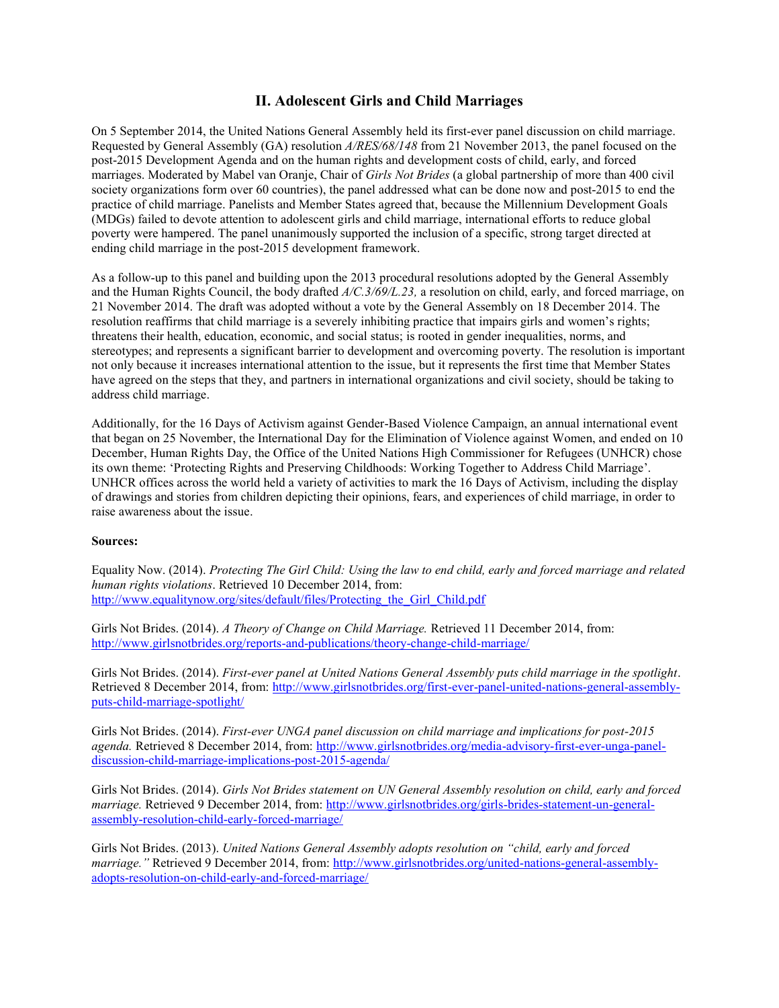## **II. Adolescent Girls and Child Marriages**

On 5 September 2014, the United Nations General Assembly held its first-ever panel discussion on child marriage. Requested by General Assembly (GA) resolution *A/RES/68/148* from 21 November 2013, the panel focused on the post-2015 Development Agenda and on the human rights and development costs of child, early, and forced marriages. Moderated by Mabel van Oranje, Chair of *Girls Not Brides* (a global partnership of more than 400 civil society organizations form over 60 countries), the panel addressed what can be done now and post-2015 to end the practice of child marriage. Panelists and Member States agreed that, because the Millennium Development Goals (MDGs) failed to devote attention to adolescent girls and child marriage, international efforts to reduce global poverty were hampered. The panel unanimously supported the inclusion of a specific, strong target directed at ending child marriage in the post-2015 development framework.

As a follow-up to this panel and building upon the 2013 procedural resolutions adopted by the General Assembly and the Human Rights Council, the body drafted *A/C.3/69/L.23,* a resolution on child, early, and forced marriage, on 21 November 2014. The draft was adopted without a vote by the General Assembly on 18 December 2014. The resolution reaffirms that child marriage is a severely inhibiting practice that impairs girls and women's rights; threatens their health, education, economic, and social status; is rooted in gender inequalities, norms, and stereotypes; and represents a significant barrier to development and overcoming poverty. The resolution is important not only because it increases international attention to the issue, but it represents the first time that Member States have agreed on the steps that they, and partners in international organizations and civil society, should be taking to address child marriage.

Additionally, for the 16 Days of Activism against Gender-Based Violence Campaign, an annual international event that began on 25 November, the International Day for the Elimination of Violence against Women, and ended on 10 December, Human Rights Day, the Office of the United Nations High Commissioner for Refugees (UNHCR) chose its own theme: 'Protecting Rights and Preserving Childhoods: Working Together to Address Child Marriage'. UNHCR offices across the world held a variety of activities to mark the 16 Days of Activism, including the display of drawings and stories from children depicting their opinions, fears, and experiences of child marriage, in order to raise awareness about the issue.

## **Sources:**

Equality Now. (2014). *Protecting The Girl Child: Using the law to end child, early and forced marriage and related human rights violations*. Retrieved 10 December 2014, from: http://www.equalitynow.org/sites/default/files/Protecting the Girl Child.pdf

Girls Not Brides. (2014). *A Theory of Change on Child Marriage.* Retrieved 11 December 2014, from: <http://www.girlsnotbrides.org/reports-and-publications/theory-change-child-marriage/>

Girls Not Brides. (2014). *First-ever panel at United Nations General Assembly puts child marriage in the spotlight*. Retrieved 8 December 2014, from: [http://www.girlsnotbrides.org/first-ever-panel-united-nations-general-assembly](http://www.girlsnotbrides.org/first-ever-panel-united-nations-general-assembly-puts-child-marriage-spotlight/)[puts-child-marriage-spotlight/](http://www.girlsnotbrides.org/first-ever-panel-united-nations-general-assembly-puts-child-marriage-spotlight/)

Girls Not Brides. (2014). *First-ever UNGA panel discussion on child marriage and implications for post-2015 agenda.* Retrieved 8 December 2014, from: [http://www.girlsnotbrides.org/media-advisory-first-ever-unga-panel](http://www.girlsnotbrides.org/media-advisory-first-ever-unga-panel-discussion-child-marriage-implications-post-2015-agenda/)[discussion-child-marriage-implications-post-2015-agenda/](http://www.girlsnotbrides.org/media-advisory-first-ever-unga-panel-discussion-child-marriage-implications-post-2015-agenda/)

Girls Not Brides. (2014). *Girls Not Brides statement on UN General Assembly resolution on child, early and forced marriage.* Retrieved 9 December 2014, from: [http://www.girlsnotbrides.org/girls-brides-statement-un-general](http://www.girlsnotbrides.org/girls-brides-statement-un-general-assembly-resolution-child-early-forced-marriage/)[assembly-resolution-child-early-forced-marriage/](http://www.girlsnotbrides.org/girls-brides-statement-un-general-assembly-resolution-child-early-forced-marriage/)

Girls Not Brides. (2013). *United Nations General Assembly adopts resolution on "child, early and forced marriage."* Retrieved 9 December 2014, from: [http://www.girlsnotbrides.org/united-nations-general-assembly](http://www.girlsnotbrides.org/united-nations-general-assembly-adopts-resolution-on-child-early-and-forced-marriage/)[adopts-resolution-on-child-early-and-forced-marriage/](http://www.girlsnotbrides.org/united-nations-general-assembly-adopts-resolution-on-child-early-and-forced-marriage/)